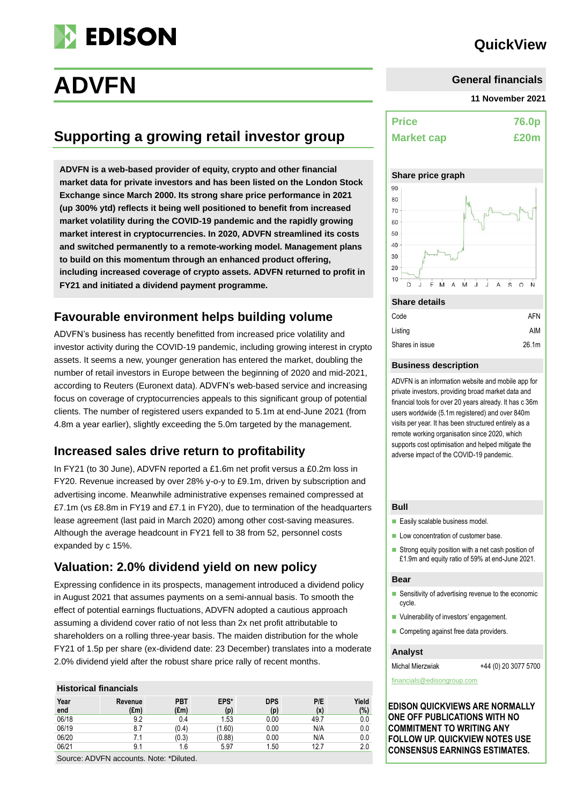

# **QuickView**

# **ADVFN**

# **Supporting a growing retail investor group**

**ADVFN is a web-based provider of equity, crypto and other financial market data for private investors and has been listed on the London Stock Exchange since March 2000. Its strong share price performance in 2021 (up 300% ytd) reflects it being well positioned to benefit from increased market volatility during the COVID-19 pandemic and the rapidly growing market interest in cryptocurrencies. In 2020, ADVFN streamlined its costs and switched permanently to a remote-working model. Management plans to build on this momentum through an enhanced product offering, including increased coverage of crypto assets. ADVFN returned to profit in FY21 and initiated a dividend payment programme.** 

# **Favourable environment helps building volume**

ADVFN's business has recently benefitted from increased price volatility and investor activity during the COVID-19 pandemic, including growing interest in crypto assets. It seems a new, younger generation has entered the market, doubling the number of retail investors in Europe between the beginning of 2020 and mid-2021, according to Reuters (Euronext data). ADVFN's web-based service and increasing focus on coverage of cryptocurrencies appeals to this significant group of potential clients. The number of registered users expanded to 5.1m at end-June 2021 (from 4.8m a year earlier), slightly exceeding the 5.0m targeted by the management.

# **Increased sales drive return to profitability**

In FY21 (to 30 June), ADVFN reported a £1.6m net profit versus a £0.2m loss in FY20. Revenue increased by over 28% y-o-y to £9.1m, driven by subscription and advertising income. Meanwhile administrative expenses remained compressed at £7.1m (vs £8.8m in FY19 and £7.1 in FY20), due to termination of the headquarters lease agreement (last paid in March 2020) among other cost-saving measures. Although the average headcount in FY21 fell to 38 from 52, personnel costs expanded by c 15%.

# **Valuation: 2.0% dividend yield on new policy**

Expressing confidence in its prospects, management introduced a dividend policy in August 2021 that assumes payments on a semi-annual basis. To smooth the effect of potential earnings fluctuations, ADVFN adopted a cautious approach assuming a dividend cover ratio of not less than 2x net profit attributable to shareholders on a rolling three-year basis. The maiden distribution for the whole FY21 of 1.5p per share (ex-dividend date: 23 December) translates into a moderate 2.0% dividend yield after the robust share price rally of recent months.

#### **Historical financials**

| Year<br>end | Revenue<br>$(\text{Em})$ | <b>PBT</b><br>$(\text{Em})$        | EPS*<br>(p) | <b>DPS</b><br>(p) | P/E<br>(x) | Yield<br>(%) |
|-------------|--------------------------|------------------------------------|-------------|-------------------|------------|--------------|
| 06/18       | 9.2                      | 0.4                                | 1.53        | 0.00              | 49.7       | 0.0          |
| 06/19       |                          | (0.4)                              | (1.60)      | 0.00              | N/A        | 0.0          |
| 06/20       |                          | (0.3)                              | (0.88)      | 0.00              | N/A        | 0.0          |
| 06/21       | 9.1                      | 1.6                                | 5.97        | 1.50              | 12.7       | 2.0          |
|             | .                        | $\sim$ $\sim$ $\sim$ $\sim$ $\sim$ |             |                   |            |              |

Source: ADVFN accounts. Note: \*Diluted.

#### **11 November 2021**

| <b>Price</b>      | 76.0p     |
|-------------------|-----------|
| <b>Market cap</b> | £20m<br>۰ |

#### **Share price graph**



# Code AFN Listing AIM

| Shares in issue | 26.1 <sub>m</sub> |
|-----------------|-------------------|
|                 |                   |

#### **Business description**

ADVFN is an information website and mobile app for private investors, providing broad market data and financial tools for over 20 years already. It has c 36m users worldwide (5.1m registered) and over 840m visits per year. It has been structured entirely as a remote working organisation since 2020, which supports cost optimisation and helped mitigate the adverse impact of the COVID-19 pandemic.

#### **Bull**

- Easily scalable business model
- Low concentration of customer base.
- Strong equity position with a net cash position of £1.9m and equity ratio of 59% at end-June 2021.

#### **Bear**

- Sensitivity of advertising revenue to the economic cycle.
- Vulnerability of investors' engagement.
- Competing against free data providers.

#### **Analyst**

Michal Mierzwiak +44 (0) 20 3077 5700

financials@edisongroup.com

**EDISON QUICKVIEWS ARE NORMALLY ONE OFF PUBLICATIONS WITH NO COMMITMENT TO WRITING ANY FOLLOW UP. QUICKVIEW NOTES USE CONSENSUS EARNINGS ESTIMATES.**